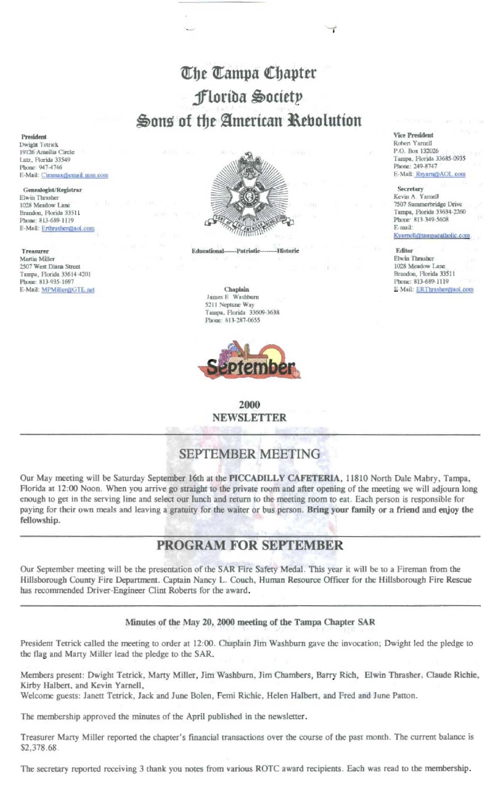# The Tampa Chapter Florida Society Sons of the American Rebolution

President Dwight Tetrick 19126 Ameilia Circle Lutz, Florida 33549 Phone: 947-4746 E-Mail: Cimmax@email.msn.com

Genealogist/Registrar Elwin Thrasher 1028 Meadow Lan Brandon, Florida 33511 Phone: 813-689-1119 E-Mail: Erthrashen@aol.com

Treasurer Martin Miller 2507 West Diana Street Tampa, Florida 33614-4201 Phone: 813-935-1697 E-Mail: MPMiller@GTE.net



-Historic **Educational-**Patriotic

#### Chaplain James E Washburn 5211 Neptune Way Tampa, Florida 33609-3638 Phone: 813-287-0655



2000 **NEWSLETTER** 

# **SEPTEMBER MEETING**

Our May meeting will be Saturday September 16th at the PICCADILLY CAFETERIA, 11810 North Dale Mabry, Tampa, Florida at 12:00 Noon. When you arrive go straight to the private room and after opening of the meeting we will adjourn long enough to get in the serving line and select our lunch and return to the meeting room to eat. Each person is responsible for paying for their own meals and leaving a gratuity for the waiter or bus person. Bring your family or a friend and enjoy the fellowship.

## PROGRAM FOR SEPTEMBER

Our September meeting will be the presentation of the SAR Fire Safety Medal. This year it will be to a Fireman from the Hillsborough County Fire Department. Captain Nancy L. Couch, Human Resource Officer for the Hillsborough Fire Rescue has recommended Driver-Engineer Clint Roberts for the award.

#### Minutes of the May 20, 2000 meeting of the Tampa Chapter SAR

President Tetrick called the meeting to order at 12:00. Chaplain Jim Washburn gave the invocation; Dwight led the pledge to the flag and Marty Miller lead the pledge to the SAR.

Members present: Dwight Tetrick, Marty Miller, Jim Washburn, Jim Chambers, Barry Rich, Elwin Thrasher, Claude Richie, Kirby Halbert, and Kevin Yarnell,

Welcome guests: Janett Tetrick, Jack and June Bolen, Femi Richie, Helen Halbert, and Fred and June Patton.

The membership approved the minutes of the April published in the newsletter.

Treasurer Marty Miller reported the chapter's financial transactions over the course of the past month. The current balance is \$2,378.68.

The secretary reported receiving 3 thank you notes from various ROTC award recipients. Each was read to the membership.

**Vice President** Robert Yarnell P.O. Box 132026 Tampa, Florida 33685-0935 Phone: 249-8747 E-Mail: Rsyarn@AOL.com

Secretary Kevin A. Yarnell 7507 Summerbridge Drive Tampa, Florida 33634-2260 Phone: 813-349-5608 E-mail:

Kyarnell@tampacatholic.com

Editor Elwin Thrasher 1028 Meadow Lane Brandon, Florida 33511 Phone: 813-689-1119 E-Mail: ERThrasher@aol.com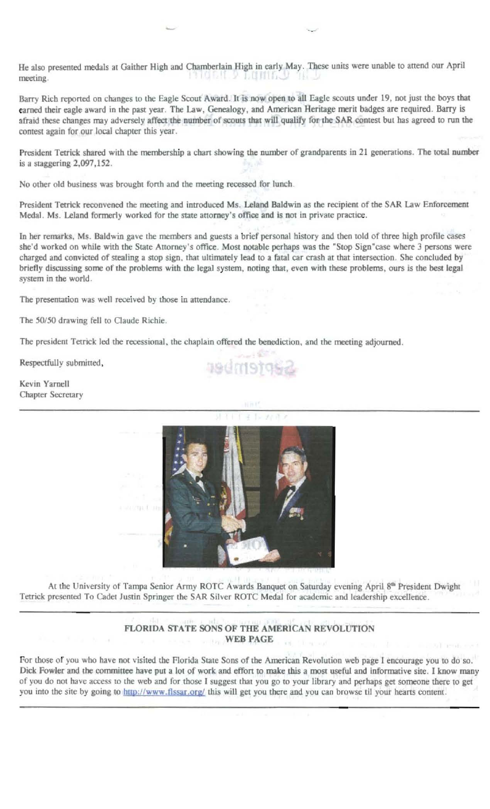He also presented medals at Gaither High and Chamberlain High in early May. These units were unable to attend our April гиони у пошаци meeting. -131. - 11

Barry Rich reported on changes to the Eagle Scout Award. It is now open to all Eagle scouts under 19, not just the boys that earned their eagle award in the past year. The Law, Genealogy, and American Heritage merit badges are required. Barry is afraid these changes may adversely affect the number of scouts that will qualify for the SAR contest but has agreed to run the contest again for our local chapter this year.

President Tetrick shared with the membership a chart showing the number of grandparents in 21 generations. The total number is a staggering  $2,097,152$ .

No other old business was brought forth and the meeting recessed for lunch.

President Tetrick reconvened the meeting and introduced Ms. Leland Baldwin as the recipient of the SAR Law Enforcement Medal. Ms. Leland formerly worked for the state attorney's office and is not in private practice.

In her remarks, Ms. Baldwin gave the members and guests a brief personal history and then told of three high profile cases she'd worked on while with the State Attorney's office. Most notable perhaps was the "Stop Sign"case where 3 persons were charged and convicted of stealing a stop sign, that ultimately lead to a fatal car crash at that intersection. She concluded by briefly discussing some of the problems with the legal system, noting that, even with these problems, ours is the best legal system in the world.

The presentation was well received by those in attendance.

The 50/50 drawing fell to Claude Richie.

The president Tetrick led the recessional, the chaplain offered the benediction, and the meeting adjourned.

Respectfully submitted,

Kevin Yarnell **Chapter Secretary** 



At the University of Tampa Senior Army ROTC Awards Banquet on Saturday evening April 8th President Dwight Tetrick presented To Cadet Justin Springer the SAR Silver ROTC Medal for academic and leadership excellence.

### FLORIDA STATE SONS OF THE AMERICAN REVOLUTION WEB PAGE

For those of you who have not visited the Florida State Sons of the American Revolution web page I encourage you to do so. Dick Fowler and the committee have put a lot of work and effort to make this a most useful and informative site. I know many of you do not have access to the web and for those I suggest that you go to your library and perhaps get someone there to get you into the site by going to http://www.flssar.org/ this will get you there and you can browse til your hearts content.